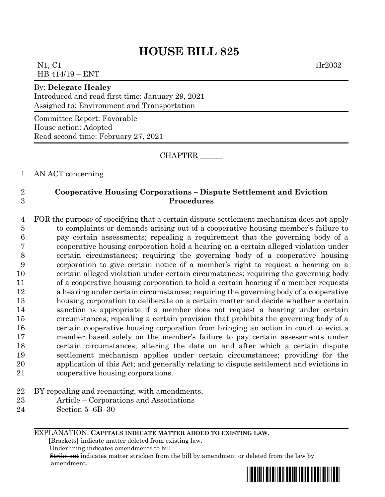# **HOUSE BILL 825**

N1, C1 1lr2032 HB 414/19 – ENT

#### By: **Delegate Healey**

Introduced and read first time: January 29, 2021 Assigned to: Environment and Transportation

Committee Report: Favorable House action: Adopted Read second time: February 27, 2021

CHAPTER \_\_\_\_\_\_

1 AN ACT concerning

### 2 **Cooperative Housing Corporations – Dispute Settlement and Eviction**  3 **Procedures**

 FOR the purpose of specifying that a certain dispute settlement mechanism does not apply to complaints or demands arising out of a cooperative housing member's failure to pay certain assessments; repealing a requirement that the governing body of a cooperative housing corporation hold a hearing on a certain alleged violation under certain circumstances; requiring the governing body of a cooperative housing corporation to give certain notice of a member's right to request a hearing on a certain alleged violation under certain circumstances; requiring the governing body of a cooperative housing corporation to hold a certain hearing if a member requests a hearing under certain circumstances; requiring the governing body of a cooperative housing corporation to deliberate on a certain matter and decide whether a certain sanction is appropriate if a member does not request a hearing under certain circumstances; repealing a certain provision that prohibits the governing body of a certain cooperative housing corporation from bringing an action in court to evict a member based solely on the member's failure to pay certain assessments under certain circumstances; altering the date on and after which a certain dispute settlement mechanism applies under certain circumstances; providing for the application of this Act; and generally relating to dispute settlement and evictions in cooperative housing corporations.

- 22 BY repealing and reenacting, with amendments,
- 23 Article Corporations and Associations
- 24 Section 5–6B–30

EXPLANATION: **CAPITALS INDICATE MATTER ADDED TO EXISTING LAW**.

 **[**Brackets**]** indicate matter deleted from existing law.

Underlining indicates amendments to bill.

 Strike out indicates matter stricken from the bill by amendment or deleted from the law by amendment.

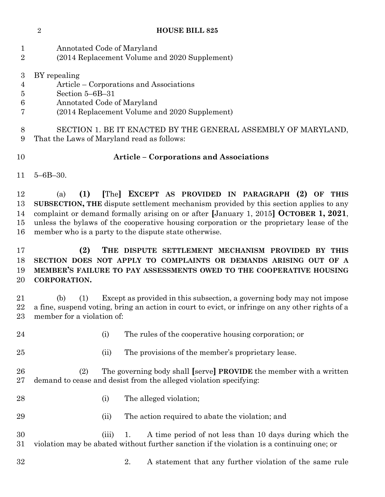Annotated Code of Maryland (2014 Replacement Volume and 2020 Supplement) BY repealing

- Article Corporations and Associations
- Section 5–6B–31
- Annotated Code of Maryland
- (2014 Replacement Volume and 2020 Supplement)

 SECTION 1. BE IT ENACTED BY THE GENERAL ASSEMBLY OF MARYLAND, That the Laws of Maryland read as follows:

## **Article – Corporations and Associations**

5–6B–30.

 (a) **(1) [**The**] EXCEPT AS PROVIDED IN PARAGRAPH (2) OF THIS SUBSECTION, THE** dispute settlement mechanism provided by this section applies to any complaint or demand formally arising on or after **[**January 1, 2015**] OCTOBER 1, 2021**, unless the bylaws of the cooperative housing corporation or the proprietary lease of the member who is a party to the dispute state otherwise.

## **(2) THE DISPUTE SETTLEMENT MECHANISM PROVIDED BY THIS SECTION DOES NOT APPLY TO COMPLAINTS OR DEMANDS ARISING OUT OF A MEMBER'S FAILURE TO PAY ASSESSMENTS OWED TO THE COOPERATIVE HOUSING CORPORATION.**

 (b) (1) Except as provided in this subsection, a governing body may not impose a fine, suspend voting, bring an action in court to evict, or infringe on any other rights of a member for a violation of:

- (i) The rules of the cooperative housing corporation; or
- 
- (ii) The provisions of the member's proprietary lease.
- (2) The governing body shall **[**serve**] PROVIDE** the member with a written demand to cease and desist from the alleged violation specifying:
- 28 (i) The alleged violation;
- (ii) The action required to abate the violation; and

 (iii) 1. A time period of not less than 10 days during which the violation may be abated without further sanction if the violation is a continuing one; or

2. A statement that any further violation of the same rule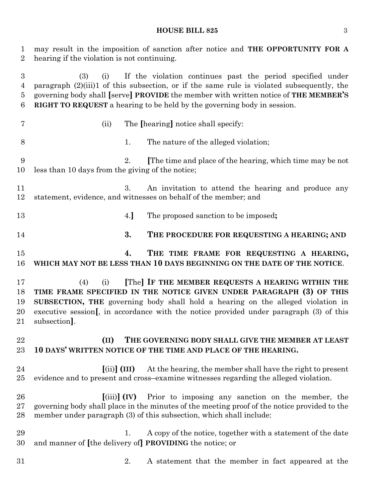#### **HOUSE BILL 825** 3

 may result in the imposition of sanction after notice and **THE OPPORTUNITY FOR A** hearing if the violation is not continuing.

 (3) (i) If the violation continues past the period specified under paragraph (2)(iii)1 of this subsection, or if the same rule is violated subsequently, the governing body shall **[**serve**] PROVIDE** the member with written notice of **THE MEMBER'S RIGHT TO REQUEST** a hearing to be held by the governing body in session.

- 
- (ii) The **[**hearing**]** notice shall specify:
- 1. The nature of the alleged violation;
- 2. **[**The time and place of the hearing, which time may be not less than 10 days from the giving of the notice;
- 3. An invitation to attend the hearing and produce any statement, evidence, and witnesses on behalf of the member; and
- 4.**]** The proposed sanction to be imposed**;**
- **3. THE PROCEDURE FOR REQUESTING A HEARING; AND**
- **4. THE TIME FRAME FOR REQUESTING A HEARING, WHICH MAY NOT BE LESS THAN 10 DAYS BEGINNING ON THE DATE OF THE NOTICE**.

 (4) (i) **[**The**] IF THE MEMBER REQUESTS A HEARING WITHIN THE TIME FRAME SPECIFIED IN THE NOTICE GIVEN UNDER PARAGRAPH (3) OF THIS SUBSECTION, THE** governing body shall hold a hearing on the alleged violation in executive session**[**, in accordance with the notice provided under paragraph (3) of this subsection**]**.

## **(II) THE GOVERNING BODY SHALL GIVE THE MEMBER AT LEAST 10 DAYS' WRITTEN NOTICE OF THE TIME AND PLACE OF THE HEARING.**

- **[**(ii)**] (III)** At the hearing, the member shall have the right to present evidence and to present and cross–examine witnesses regarding the alleged violation.
- **[**(iii)**] (IV)** Prior to imposing any sanction on the member, the governing body shall place in the minutes of the meeting proof of the notice provided to the member under paragraph (3) of this subsection, which shall include:
- 29 1. A copy of the notice, together with a statement of the date and manner of **[**the delivery of**] PROVIDING** the notice; or
- 
- 2. A statement that the member in fact appeared at the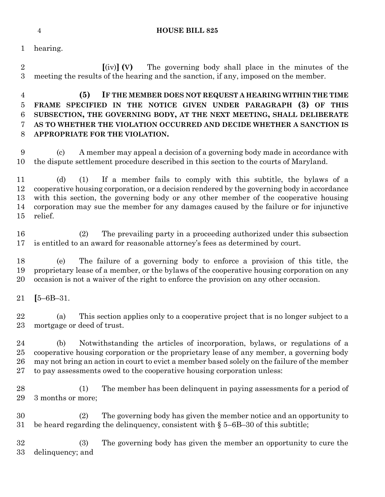#### **HOUSE BILL 825**

hearing.

 **[**(iv)**] (V)** The governing body shall place in the minutes of the meeting the results of the hearing and the sanction, if any, imposed on the member.

## **(5) IF THE MEMBER DOES NOT REQUEST A HEARING WITHIN THE TIME FRAME SPECIFIED IN THE NOTICE GIVEN UNDER PARAGRAPH (3) OF THIS SUBSECTION, THE GOVERNING BODY, AT THE NEXT MEETING, SHALL DELIBERATE AS TO WHETHER THE VIOLATION OCCURRED AND DECIDE WHETHER A SANCTION IS APPROPRIATE FOR THE VIOLATION.**

 (c) A member may appeal a decision of a governing body made in accordance with the dispute settlement procedure described in this section to the courts of Maryland.

 (d) (1) If a member fails to comply with this subtitle, the bylaws of a cooperative housing corporation, or a decision rendered by the governing body in accordance with this section, the governing body or any other member of the cooperative housing corporation may sue the member for any damages caused by the failure or for injunctive relief.

 (2) The prevailing party in a proceeding authorized under this subsection is entitled to an award for reasonable attorney's fees as determined by court.

 (e) The failure of a governing body to enforce a provision of this title, the proprietary lease of a member, or the bylaws of the cooperative housing corporation on any occasion is not a waiver of the right to enforce the provision on any other occasion.

**[**5–6B–31.

 (a) This section applies only to a cooperative project that is no longer subject to a mortgage or deed of trust.

 (b) Notwithstanding the articles of incorporation, bylaws, or regulations of a cooperative housing corporation or the proprietary lease of any member, a governing body may not bring an action in court to evict a member based solely on the failure of the member to pay assessments owed to the cooperative housing corporation unless:

 (1) The member has been delinquent in paying assessments for a period of 3 months or more;

 (2) The governing body has given the member notice and an opportunity to be heard regarding the delinquency, consistent with § 5–6B–30 of this subtitle;

 (3) The governing body has given the member an opportunity to cure the delinquency; and